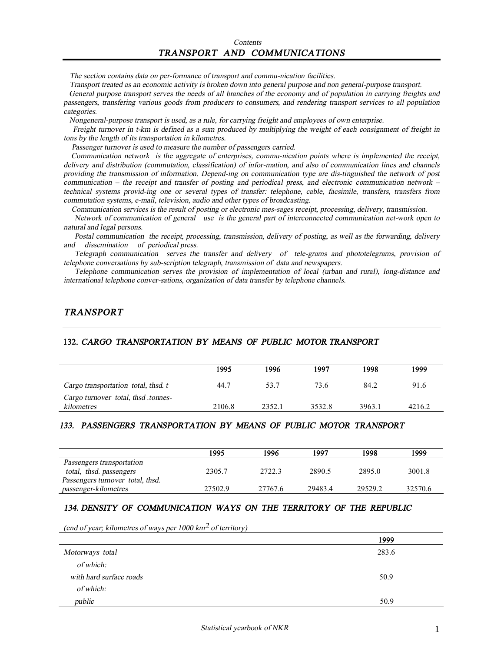*The section contains data on per-formance of transport and commu-nication facilities.* 

Transport treated as an economic activity is broken down into general purpose and non general-purpose transport.

General purpose transport serves the needs of all branches of the economy and of population in carrying freights and *passengers, transfering various goods from producers to consumers, and rendering transport services to all population categories.* 

 *Nongeneral-purpose transport is used, as <sup>a</sup> rule, for carrying freight and employees of own enterprise.* 

Freight turnover in t-km is defined as a sum produced by multiplying the weight of each consignment of freight in *tons by the length of its transportation in kilometres.* 

 *Passenger turnover is used to measure the number of passengers carried.* 

 *Communication network is the aggregate of enterprises, commu-nication points where is implemented the receipt, delivery and distribution (commutation, classification) of infor-mation, and also of communication lines and channels providing the transmission of information. Depend-ing on communication type are dis-tinguished the network of post*  communication – the receipt and transfer of posting and periodical press, and electronic communication network – *technical systems provid-ing one or several types of transfer: telephone, cable, facsimile, transfers, transfers from commutation systems, e-mail, television, audio and other types of broadcasting.* 

 *Communication services is the result of posting or electronic mes-sages receipt, processing, delivery, transmission.*

*Network of communication of general use is the general part of interconnected communication net-work open to natural and legal persons.* 

*Postal communication the receipt, processing, transmission, delivery of posting, as well as the forwarding, delivery and dissemination of periodical press.* 

*Telegraph communication serves the transfer and delivery of tele-grams and phototelegrams, provision of telephone conversations by sub-scription telegraph, transmission of data and newspapers.* 

*Telephone communication serves the provision of implementation of local (urban and rural), long-distance and international telephone conver-sations, organization of data transfer by telephone channels.* 

## *TRANSPORT*

#### **132.** *CARGO TRANSPORTATION BY MEANS OF PUBLIC MOTOR TRANSPORT*

|                                                   | 1995   | 1996   | 1997   | 1998   | 1999   |
|---------------------------------------------------|--------|--------|--------|--------|--------|
| Cargo transportation total, thsd. t               | 44.7   | 53.7   | 73.6   | 84.2   | 91.6   |
| Cargo turnover total, thsd .tonnes-<br>kilometres | 2106.8 | 2352.1 | 3532.8 | 3963.1 | 4216.2 |

## *133. PASSENGERS TRANSPORTATION BY MEANS OF PUBLIC MOTOR TRANSPORT*

|                                  | 1995    | 1996    | 1997    | 1998    | 1999    |
|----------------------------------|---------|---------|---------|---------|---------|
| Passengers transportation        |         |         |         |         |         |
| total, thsd. passengers          | 2305.7  | 2722.3  | 2890.5  | 2895.0  | 3001.8  |
| Passengers turnover total, thsd. |         |         |         |         |         |
| passenger-kilometres             | 27502.9 | 27767.6 | 29483.4 | 29529.2 | 32570.6 |

## *134. DENSITY OF COMMUNICATION WAYS ON THE TERRITORY OF THE REPUBLIC*

*(end of year; kilometres of ways per <sup>1000</sup> km2 of territory)* 

|                         | 1999  |
|-------------------------|-------|
| Motorways total         | 283.6 |
| of which:               |       |
| with hard surface roads | 50.9  |
| of which:               |       |
| public                  | 50.9  |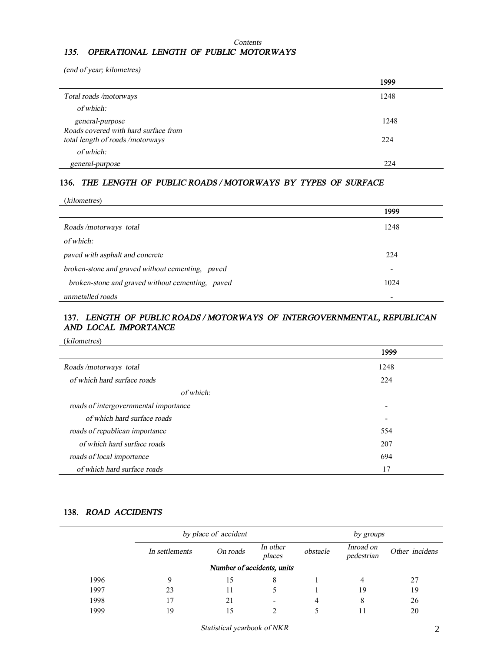#### *Contents*

## *135. OPERATIONAL LENGTH OF PUBLIC MOTORWAYS*

*(end of year; kilometres)*

|                                      | 1999 |
|--------------------------------------|------|
| Total roads/motorways                | 1248 |
| of which:                            |      |
| general-purpose                      | 1248 |
| Roads covered with hard surface from |      |
| total length of roads/motorways      | 224  |
| of which:                            |      |
| general-purpose                      | 224  |

## **136.** *THE LENGTH OF PUBLIC ROADS / MOTORWAYS BY TYPES OF SURFACE*

| (kilometres)                                     |                          |  |
|--------------------------------------------------|--------------------------|--|
|                                                  | 1999                     |  |
| Roads/motorways total                            | 1248                     |  |
| of which:                                        |                          |  |
| paved with asphalt and concrete                  | 224                      |  |
| broken-stone and graved without cementing, paved | $\overline{\phantom{a}}$ |  |
| broken-stone and graved without cementing, paved | 1024                     |  |
| unmetalled roads                                 |                          |  |

## **137.** *LENGTH OF PUBLIC ROADS / MOTORWAYS OF INTERGOVERNMENTAL, REPUBLICAN AND LOCAL IMPORTANCE*

(*kilometres*)

|                                       | 1999                     |
|---------------------------------------|--------------------------|
| Roads/motorways total                 | 1248                     |
| of which hard surface roads           | 224                      |
| of which:                             |                          |
| roads of intergovernmental importance | $\overline{\phantom{0}}$ |
| of which hard surface roads           | $\overline{\phantom{0}}$ |
| roads of republican importance        | 554                      |
| of which hard surface roads           | 207                      |
| roads of local importance             | 694                      |
| of which hard surface roads           | 17                       |

## **138.** *ROAD ACCIDENTS*

|      | by place of accident |                            |                    |          | by groups               |                |
|------|----------------------|----------------------------|--------------------|----------|-------------------------|----------------|
|      | In settlements       | On roads                   | In other<br>places | obstacle | Inroad on<br>pedestrian | Other incidens |
|      |                      | Number of accidents, units |                    |          |                         |                |
| 1996 | Q                    | 15                         | 8                  |          |                         | 27             |
| 1997 | 23                   |                            |                    |          | 19                      | 19             |
| 1998 |                      | 21                         |                    |          | 8                       | 26             |
| 1999 | 19                   | 15                         |                    |          |                         | 20             |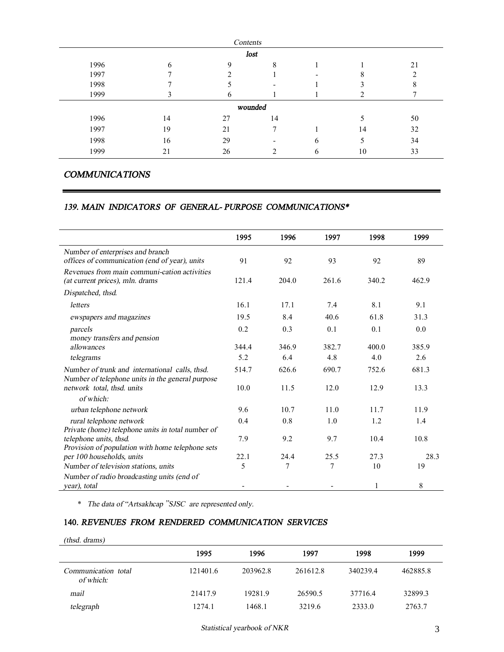|      |    | Contents    |         |   |    |    |
|------|----|-------------|---------|---|----|----|
|      |    |             | lost    |   |    |    |
| 1996 | h  | $\mathbf Q$ | 8       |   |    | 21 |
| 1997 |    |             |         |   |    |    |
| 1998 |    |             |         |   |    |    |
| 1999 |    | h           |         |   |    |    |
|      |    |             | wounded |   |    |    |
| 1996 | 14 | 27          | 14      |   |    | 50 |
| 1997 | 19 | 21          |         |   | 14 | 32 |
| 1998 | 16 | 29          |         | 6 |    | 34 |
| 1999 | 21 | 26          |         | 6 | 10 | 33 |

## *COMMUNICATIONS*

### *139. MAIN INDICATORS OF GENERAL- PURPOSE COMMUNICATIONS\**

|                                                                                                    | 1995  | 1996  | 1997           | 1998  | 1999  |
|----------------------------------------------------------------------------------------------------|-------|-------|----------------|-------|-------|
| Number of enterprises and branch<br>offices of communication (end of year), units                  | 91    | 92    | 93             | 92    | 89    |
| Revenues from main communi-cation activities<br>(at current prices), mln. drams                    | 121.4 | 204.0 | 261.6          | 340.2 | 462.9 |
| Dispatched, thsd.                                                                                  |       |       |                |       |       |
| letters                                                                                            | 16.1  | 17.1  | 7.4            | 8.1   | 9.1   |
| ewspapers and magazines                                                                            | 19.5  | 8.4   | 40.6           | 61.8  | 31.3  |
| parcels<br>money transfers and pension                                                             | 0.2   | 0.3   | 0.1            | 0.1   | 0.0   |
| allowances                                                                                         | 344.4 | 346.9 | 382.7          | 400.0 | 385.9 |
| telegrams                                                                                          | 5.2   | 6.4   | 4.8            | 4.0   | 2.6   |
| Number of trunk and international calls, thsd.<br>Number of telephone units in the general purpose | 514.7 | 626.6 | 690.7          | 752.6 | 681.3 |
| network total, thsd. units                                                                         | 10.0  | 11.5  | 12.0           | 12.9  | 13.3  |
| of which:                                                                                          |       |       |                |       |       |
| urban telephone network                                                                            | 9.6   | 10.7  | 11.0           | 11.7  | 11.9  |
| rural telephone network<br>Private (home) telephone units in total number of                       | 0.4   | 0.8   | 1.0            | 1.2   | 1.4   |
| telephone units, thsd.                                                                             | 7.9   | 9.2   | 9.7            | 10.4  | 10.8  |
| Provision of population with home telephone sets<br>per 100 households, units                      | 22.1  | 24.4  | 25.5           | 27.3  | 28.3  |
| Number of television stations, units                                                               | 5     | 7     | $\overline{7}$ | 10    | 19    |
| Number of radio broadcasting units (end of<br>year), total                                         |       |       |                |       | 8     |

\* *The data of "Artsakhcap "SJSC are represented only.* 

# **140.** *REVENUES FROM RENDERED COMMUNICATION SERVICES*

| $(thisd. \, draws)$              |          |          |          |          |          |
|----------------------------------|----------|----------|----------|----------|----------|
|                                  | 1995     | 1996     | 1997     | 1998     | 1999     |
| Communication total<br>of which: | 121401.6 | 203962.8 | 261612.8 | 340239.4 | 462885.8 |
| mail                             | 21417.9  | 19281.9  | 26590.5  | 37716.4  | 32899.3  |
| telegraph                        | 1274.1   | 1468.1   | 3219.6   | 2333.0   | 2763.7   |